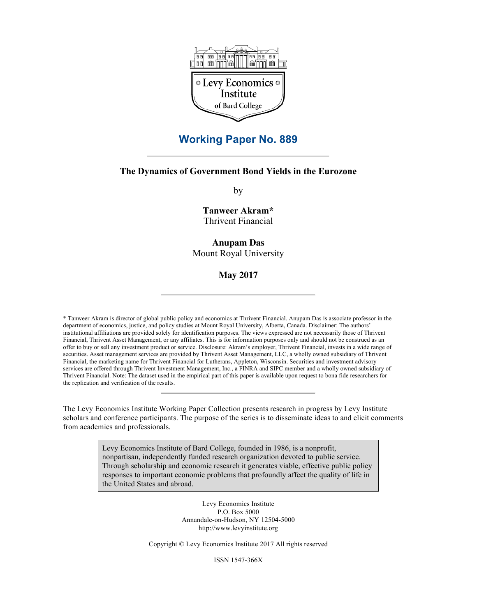

# **Working Paper No. 889**

## **The Dynamics of Government Bond Yields in the Eurozone**

by

**Tanweer Akram\*** Thrivent Financial

**Anupam Das** Mount Royal University

**May 2017**

\* Tanweer Akram is director of global public policy and economics at Thrivent Financial. Anupam Das is associate professor in the department of economics, justice, and policy studies at Mount Royal University, Alberta, Canada. Disclaimer: The authors' institutional affiliations are provided solely for identification purposes. The views expressed are not necessarily those of Thrivent Financial, Thrivent Asset Management, or any affiliates. This is for information purposes only and should not be construed as an offer to buy or sell any investment product or service. Disclosure: Akram's employer, Thrivent Financial, invests in a wide range of securities. Asset management services are provided by Thrivent Asset Management, LLC, a wholly owned subsidiary of Thrivent Financial, the marketing name for Thrivent Financial for Lutherans, Appleton, Wisconsin. Securities and investment advisory services are offered through Thrivent Investment Management, Inc., a FINRA and SIPC member and a wholly owned subsidiary of Thrivent Financial. Note: The dataset used in the empirical part of this paper is available upon request to bona fide researchers for the replication and verification of the results.

The Levy Economics Institute Working Paper Collection presents research in progress by Levy Institute scholars and conference participants. The purpose of the series is to disseminate ideas to and elicit comments from academics and professionals.

> Levy Economics Institute of Bard College, founded in 1986, is a nonprofit, nonpartisan, independently funded research organization devoted to public service. Through scholarship and economic research it generates viable, effective public policy responses to important economic problems that profoundly affect the quality of life in the United States and abroad.

> > Levy Economics Institute P.O. Box 5000 Annandale-on-Hudson, NY 12504-5000 http://www.levyinstitute.org

Copyright © Levy Economics Institute 2017 All rights reserved

ISSN 1547-366X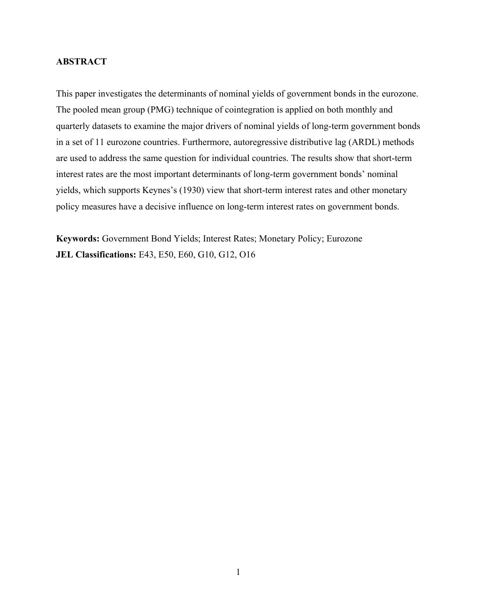# **ABSTRACT**

This paper investigates the determinants of nominal yields of government bonds in the eurozone. The pooled mean group (PMG) technique of cointegration is applied on both monthly and quarterly datasets to examine the major drivers of nominal yields of long-term government bonds in a set of 11 eurozone countries. Furthermore, autoregressive distributive lag (ARDL) methods are used to address the same question for individual countries. The results show that short-term interest rates are the most important determinants of long-term government bonds' nominal yields, which supports Keynes's (1930) view that short-term interest rates and other monetary policy measures have a decisive influence on long-term interest rates on government bonds.

**Keywords:** Government Bond Yields; Interest Rates; Monetary Policy; Eurozone **JEL Classifications:** E43, E50, E60, G10, G12, O16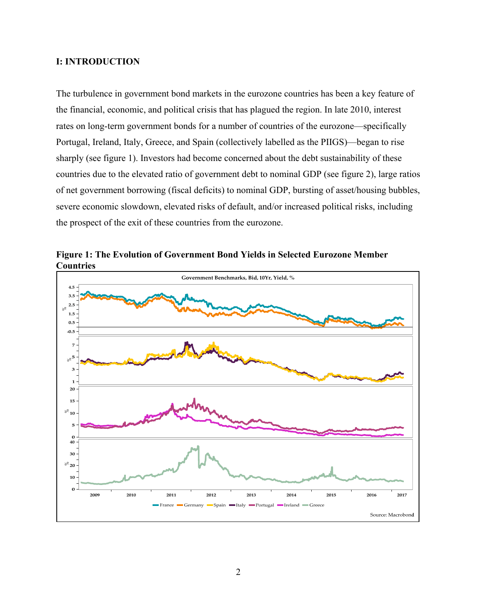# **I: INTRODUCTION**

The turbulence in government bond markets in the eurozone countries has been a key feature of the financial, economic, and political crisis that has plagued the region. In late 2010, interest rates on long-term government bonds for a number of countries of the eurozone—specifically Portugal, Ireland, Italy, Greece, and Spain (collectively labelled as the PIIGS)—began to rise sharply (see figure 1). Investors had become concerned about the debt sustainability of these countries due to the elevated ratio of government debt to nominal GDP (see figure 2), large ratios of net government borrowing (fiscal deficits) to nominal GDP, bursting of asset/housing bubbles, severe economic slowdown, elevated risks of default, and/or increased political risks, including the prospect of the exit of these countries from the eurozone.



**Figure 1: The Evolution of Government Bond Yields in Selected Eurozone Member Countries**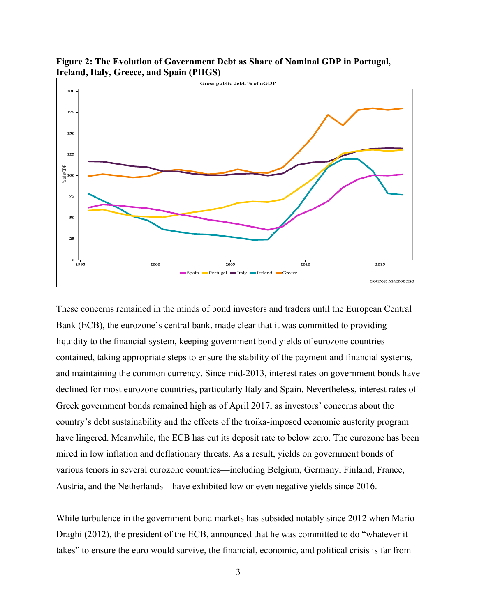

**Figure 2: The Evolution of Government Debt as Share of Nominal GDP in Portugal, Ireland, Italy, Greece, and Spain (PIIGS)** 

These concerns remained in the minds of bond investors and traders until the European Central Bank (ECB), the eurozone's central bank, made clear that it was committed to providing liquidity to the financial system, keeping government bond yields of eurozone countries contained, taking appropriate steps to ensure the stability of the payment and financial systems, and maintaining the common currency. Since mid-2013, interest rates on government bonds have declined for most eurozone countries, particularly Italy and Spain. Nevertheless, interest rates of Greek government bonds remained high as of April 2017, as investors' concerns about the country's debt sustainability and the effects of the troika-imposed economic austerity program have lingered. Meanwhile, the ECB has cut its deposit rate to below zero. The eurozone has been mired in low inflation and deflationary threats. As a result, yields on government bonds of various tenors in several eurozone countries—including Belgium, Germany, Finland, France, Austria, and the Netherlands—have exhibited low or even negative yields since 2016.

While turbulence in the government bond markets has subsided notably since 2012 when Mario Draghi (2012), the president of the ECB, announced that he was committed to do "whatever it takes" to ensure the euro would survive, the financial, economic, and political crisis is far from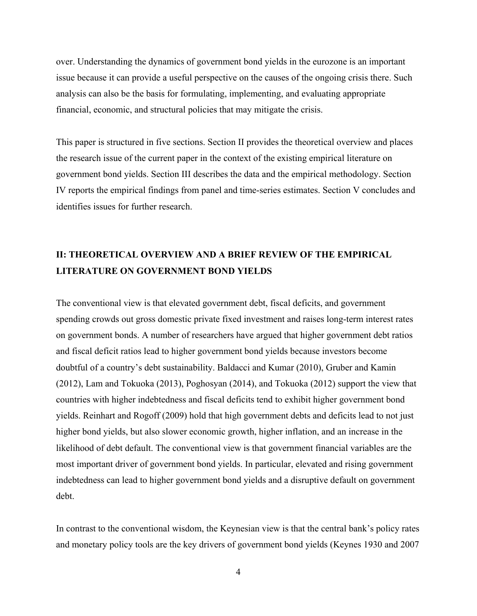over. Understanding the dynamics of government bond yields in the eurozone is an important issue because it can provide a useful perspective on the causes of the ongoing crisis there. Such analysis can also be the basis for formulating, implementing, and evaluating appropriate financial, economic, and structural policies that may mitigate the crisis.

This paper is structured in five sections. Section II provides the theoretical overview and places the research issue of the current paper in the context of the existing empirical literature on government bond yields. Section III describes the data and the empirical methodology. Section IV reports the empirical findings from panel and time-series estimates. Section V concludes and identifies issues for further research.

# **II: THEORETICAL OVERVIEW AND A BRIEF REVIEW OF THE EMPIRICAL LITERATURE ON GOVERNMENT BOND YIELDS**

The conventional view is that elevated government debt, fiscal deficits, and government spending crowds out gross domestic private fixed investment and raises long-term interest rates on government bonds. A number of researchers have argued that higher government debt ratios and fiscal deficit ratios lead to higher government bond yields because investors become doubtful of a country's debt sustainability. Baldacci and Kumar (2010), Gruber and Kamin (2012), Lam and Tokuoka (2013), Poghosyan (2014), and Tokuoka (2012) support the view that countries with higher indebtedness and fiscal deficits tend to exhibit higher government bond yields. Reinhart and Rogoff (2009) hold that high government debts and deficits lead to not just higher bond yields, but also slower economic growth, higher inflation, and an increase in the likelihood of debt default. The conventional view is that government financial variables are the most important driver of government bond yields. In particular, elevated and rising government indebtedness can lead to higher government bond yields and a disruptive default on government debt.

In contrast to the conventional wisdom, the Keynesian view is that the central bank's policy rates and monetary policy tools are the key drivers of government bond yields (Keynes 1930 and 2007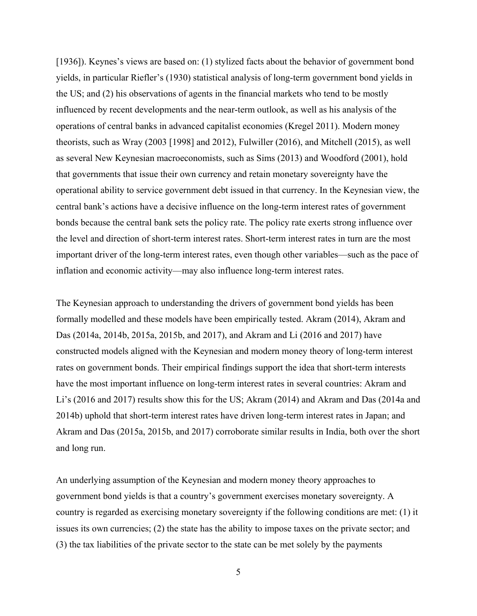[1936]). Keynes's views are based on: (1) stylized facts about the behavior of government bond yields, in particular Riefler's (1930) statistical analysis of long-term government bond yields in the US; and (2) his observations of agents in the financial markets who tend to be mostly influenced by recent developments and the near-term outlook, as well as his analysis of the operations of central banks in advanced capitalist economies (Kregel 2011). Modern money theorists, such as Wray (2003 [1998] and 2012), Fulwiller (2016), and Mitchell (2015), as well as several New Keynesian macroeconomists, such as Sims (2013) and Woodford (2001), hold that governments that issue their own currency and retain monetary sovereignty have the operational ability to service government debt issued in that currency. In the Keynesian view, the central bank's actions have a decisive influence on the long-term interest rates of government bonds because the central bank sets the policy rate. The policy rate exerts strong influence over the level and direction of short-term interest rates. Short-term interest rates in turn are the most important driver of the long-term interest rates, even though other variables—such as the pace of inflation and economic activity—may also influence long-term interest rates.

The Keynesian approach to understanding the drivers of government bond yields has been formally modelled and these models have been empirically tested. Akram (2014), Akram and Das (2014a, 2014b, 2015a, 2015b, and 2017), and Akram and Li (2016 and 2017) have constructed models aligned with the Keynesian and modern money theory of long-term interest rates on government bonds. Their empirical findings support the idea that short-term interests have the most important influence on long-term interest rates in several countries: Akram and Li's (2016 and 2017) results show this for the US; Akram (2014) and Akram and Das (2014a and 2014b) uphold that short-term interest rates have driven long-term interest rates in Japan; and Akram and Das (2015a, 2015b, and 2017) corroborate similar results in India, both over the short and long run.

An underlying assumption of the Keynesian and modern money theory approaches to government bond yields is that a country's government exercises monetary sovereignty. A country is regarded as exercising monetary sovereignty if the following conditions are met: (1) it issues its own currencies; (2) the state has the ability to impose taxes on the private sector; and (3) the tax liabilities of the private sector to the state can be met solely by the payments

5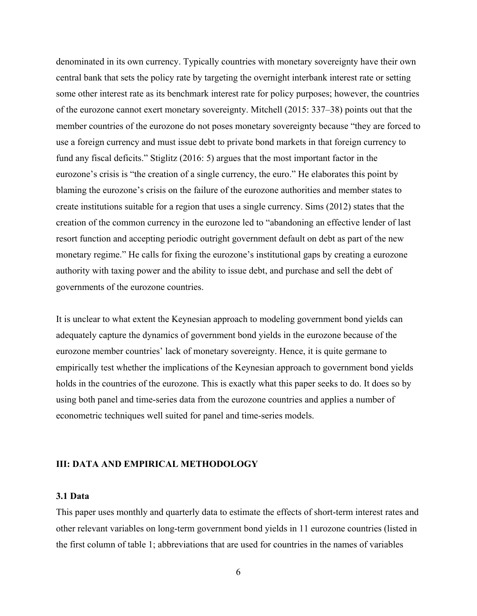denominated in its own currency. Typically countries with monetary sovereignty have their own central bank that sets the policy rate by targeting the overnight interbank interest rate or setting some other interest rate as its benchmark interest rate for policy purposes; however, the countries of the eurozone cannot exert monetary sovereignty. Mitchell (2015: 337–38) points out that the member countries of the eurozone do not poses monetary sovereignty because "they are forced to use a foreign currency and must issue debt to private bond markets in that foreign currency to fund any fiscal deficits." Stiglitz (2016: 5) argues that the most important factor in the eurozone's crisis is "the creation of a single currency, the euro." He elaborates this point by blaming the eurozone's crisis on the failure of the eurozone authorities and member states to create institutions suitable for a region that uses a single currency. Sims (2012) states that the creation of the common currency in the eurozone led to "abandoning an effective lender of last resort function and accepting periodic outright government default on debt as part of the new monetary regime." He calls for fixing the eurozone's institutional gaps by creating a eurozone authority with taxing power and the ability to issue debt, and purchase and sell the debt of governments of the eurozone countries.

It is unclear to what extent the Keynesian approach to modeling government bond yields can adequately capture the dynamics of government bond yields in the eurozone because of the eurozone member countries' lack of monetary sovereignty. Hence, it is quite germane to empirically test whether the implications of the Keynesian approach to government bond yields holds in the countries of the eurozone. This is exactly what this paper seeks to do. It does so by using both panel and time-series data from the eurozone countries and applies a number of econometric techniques well suited for panel and time-series models.

### **III: DATA AND EMPIRICAL METHODOLOGY**

# **3.1 Data**

This paper uses monthly and quarterly data to estimate the effects of short-term interest rates and other relevant variables on long-term government bond yields in 11 eurozone countries (listed in the first column of table 1; abbreviations that are used for countries in the names of variables

6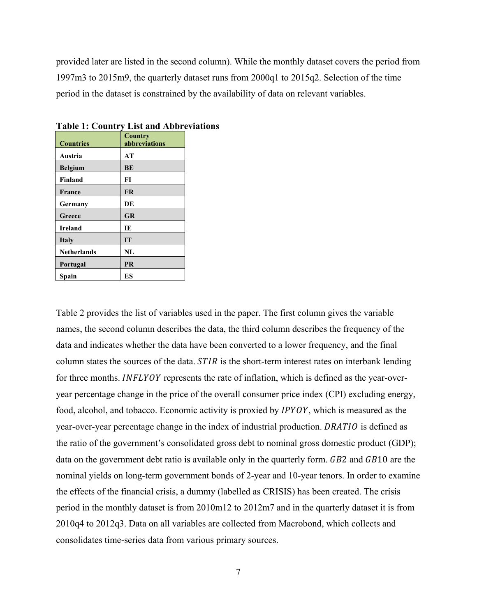provided later are listed in the second column). While the monthly dataset covers the period from 1997m3 to 2015m9, the quarterly dataset runs from 2000q1 to 2015q2. Selection of the time period in the dataset is constrained by the availability of data on relevant variables.

|                    | Country       |
|--------------------|---------------|
| <b>Countries</b>   | abbreviations |
| Austria            | AT            |
| <b>Belgium</b>     | BE            |
| <b>Finland</b>     | FI            |
| <b>France</b>      | <b>FR</b>     |
| Germany            | DE            |
| Greece             | GR            |
| <b>Ireland</b>     | IE            |
| <b>Italy</b>       | <b>IT</b>     |
| <b>Netherlands</b> | NL            |
| Portugal           | <b>PR</b>     |
| Spain              | ES            |

**Table 1: Country List and Abbreviations** 

Table 2 provides the list of variables used in the paper. The first column gives the variable names, the second column describes the data, the third column describes the frequency of the data and indicates whether the data have been converted to a lower frequency, and the final column states the sources of the data.  $STIR$  is the short-term interest rates on interbank lending for three months. *INFLYOY* represents the rate of inflation, which is defined as the year-overyear percentage change in the price of the overall consumer price index (CPI) excluding energy, food, alcohol, and tobacco. Economic activity is proxied by *IPYOY*, which is measured as the year-over-year percentage change in the index of industrial production. *DRATIO* is defined as the ratio of the government's consolidated gross debt to nominal gross domestic product (GDP); data on the government debt ratio is available only in the quarterly form.  $GB2$  and  $GB10$  are the nominal yields on long-term government bonds of 2-year and 10-year tenors. In order to examine the effects of the financial crisis, a dummy (labelled as CRISIS) has been created. The crisis period in the monthly dataset is from 2010m12 to 2012m7 and in the quarterly dataset it is from 2010q4 to 2012q3. Data on all variables are collected from Macrobond, which collects and consolidates time-series data from various primary sources.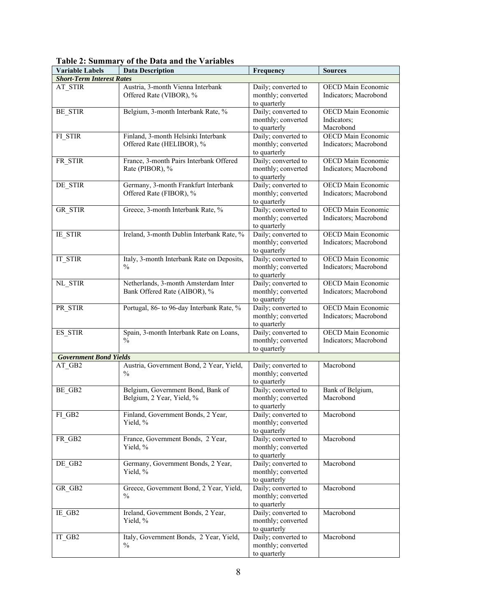| <b>Variable Labels</b>           | <b>Data Description</b>                                              | Frequency                                                 | <b>Sources</b>                                     |
|----------------------------------|----------------------------------------------------------------------|-----------------------------------------------------------|----------------------------------------------------|
| <b>Short-Term Interest Rates</b> |                                                                      |                                                           |                                                    |
| AT_STIR                          | Austria, 3-month Vienna Interbank<br>Offered Rate (VIBOR), %         | Daily; converted to<br>monthly; converted<br>to quarterly | OECD Main Economic<br>Indicators; Macrobond        |
| BE STIR                          | Belgium, 3-month Interbank Rate, %                                   | Daily; converted to<br>monthly; converted<br>to quarterly | OECD Main Economic<br>Indicators;<br>Macrobond     |
| FI STIR                          | Finland, 3-month Helsinki Interbank<br>Offered Rate (HELIBOR), %     | Daily; converted to<br>monthly; converted<br>to quarterly | <b>OECD Main Economic</b><br>Indicators; Macrobond |
| FR STIR                          | France, 3-month Pairs Interbank Offered<br>Rate (PIBOR), %           | Daily; converted to<br>monthly; converted<br>to quarterly | <b>OECD Main Economic</b><br>Indicators; Macrobond |
| DE STIR                          | Germany, 3-month Frankfurt Interbank<br>Offered Rate (FIBOR), %      | Daily; converted to<br>monthly; converted<br>to quarterly | <b>OECD Main Economic</b><br>Indicators; Macrobond |
| <b>GR STIR</b>                   | Greece, 3-month Interbank Rate, %                                    | Daily; converted to<br>monthly; converted<br>to quarterly | <b>OECD Main Economic</b><br>Indicators; Macrobond |
| <b>IE STIR</b>                   | Ireland, 3-month Dublin Interbank Rate, %                            | Daily; converted to<br>monthly; converted<br>to quarterly | <b>OECD Main Economic</b><br>Indicators; Macrobond |
| IT STIR                          | Italy, 3-month Interbank Rate on Deposits,<br>$\%$                   | Daily; converted to<br>monthly; converted<br>to quarterly | OECD Main Economic<br>Indicators; Macrobond        |
| NL STIR                          | Netherlands, 3-month Amsterdam Inter<br>Bank Offered Rate (AIBOR), % | Daily; converted to<br>monthly; converted<br>to quarterly | <b>OECD Main Economic</b><br>Indicators; Macrobond |
| PR STIR                          | Portugal, 86- to 96-day Interbank Rate, %                            | Daily; converted to<br>monthly; converted<br>to quarterly | <b>OECD Main Economic</b><br>Indicators; Macrobond |
| ES STIR                          | Spain, 3-month Interbank Rate on Loans,<br>$\frac{0}{0}$             | Daily; converted to<br>monthly; converted<br>to quarterly | <b>OECD Main Economic</b><br>Indicators; Macrobond |
| <b>Government Bond Yields</b>    |                                                                      |                                                           |                                                    |
| AT GB2                           | Austria, Government Bond, 2 Year, Yield,<br>$\%$                     | Daily; converted to<br>monthly; converted<br>to quarterly | Macrobond                                          |
| BE GB2                           | Belgium, Government Bond, Bank of<br>Belgium, 2 Year, Yield, %       | Daily; converted to<br>monthly; converted<br>to quarterly | Bank of Belgium,<br>Macrobond                      |
| FI_GB2                           | Finland, Government Bonds, 2 Year,<br>Yield, %                       | Daily; converted to<br>monthly; converted<br>to quarterly | Macrobond                                          |
| FR GB2                           | France, Government Bonds, 2 Year,<br>Yield, %                        | Daily; converted to<br>monthly; converted<br>to quarterly | Macrobond                                          |
| DE GB2                           | Germany, Government Bonds, 2 Year,<br>Yield, %                       | Daily; converted to<br>monthly; converted<br>to quarterly | Macrobond                                          |
| GR GB2                           | Greece, Government Bond, 2 Year, Yield,<br>$\%$                      | Daily; converted to<br>monthly; converted<br>to quarterly | Macrobond                                          |
| IE GB2                           | Ireland, Government Bonds, 2 Year,<br>Yield, %                       | Daily; converted to<br>monthly; converted<br>to quarterly | Macrobond                                          |
| IT GB2                           | Italy, Government Bonds, 2 Year, Yield,<br>$\%$                      | Daily; converted to<br>monthly; converted<br>to quarterly | Macrobond                                          |

# **Table 2: Summary of the Data and the Variables**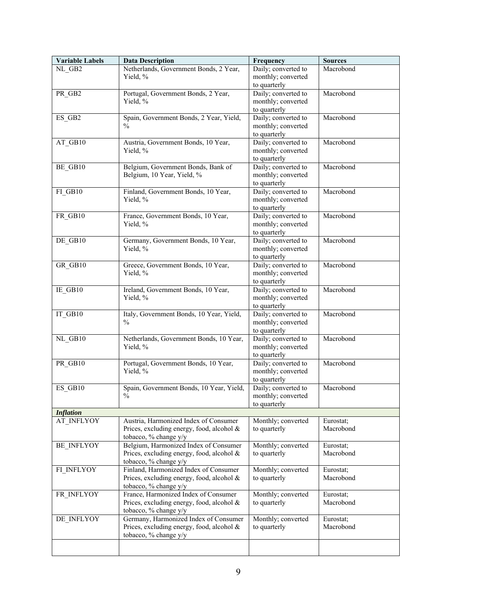| <b>Variable Labels</b> | <b>Data Description</b>                                                           | Frequency                                 | <b>Sources</b>         |
|------------------------|-----------------------------------------------------------------------------------|-------------------------------------------|------------------------|
| NL GB2                 | Netherlands, Government Bonds, 2 Year,                                            | Daily; converted to                       | Macrobond              |
|                        | Yield, %                                                                          | monthly; converted                        |                        |
|                        |                                                                                   | to quarterly                              |                        |
| PR GB2                 | Portugal, Government Bonds, 2 Year,                                               | Daily; converted to                       | Macrobond              |
|                        | Yield, %                                                                          | monthly; converted                        |                        |
|                        |                                                                                   | to quarterly                              | Macrobond              |
| ES GB2                 | Spain, Government Bonds, 2 Year, Yield,<br>$\frac{0}{0}$                          | Daily; converted to                       |                        |
|                        |                                                                                   | monthly; converted<br>to quarterly        |                        |
| $AT_GB10$              | Austria, Government Bonds, 10 Year,                                               | Daily; converted to                       | Macrobond              |
|                        | Yield, %                                                                          | monthly; converted                        |                        |
|                        |                                                                                   | to quarterly                              |                        |
| BE GB10                | Belgium, Government Bonds, Bank of                                                | Daily; converted to                       | Macrobond              |
|                        | Belgium, 10 Year, Yield, %                                                        | monthly; converted                        |                        |
|                        |                                                                                   | to quarterly                              |                        |
| FI GB10                | Finland, Government Bonds, 10 Year,                                               | Daily; converted to                       | Macrobond              |
|                        | Yield, %                                                                          | monthly; converted                        |                        |
|                        |                                                                                   | to quarterly                              |                        |
| FR GB10                | France, Government Bonds, 10 Year,                                                | Daily; converted to                       | Macrobond              |
|                        | Yield, %                                                                          | monthly; converted                        |                        |
|                        |                                                                                   | to quarterly                              |                        |
| DE GB10                | Germany, Government Bonds, 10 Year,                                               | Daily; converted to<br>monthly; converted | Macrobond              |
|                        | Yield, %                                                                          |                                           |                        |
| GR GB10                | Greece, Government Bonds, 10 Year,                                                | to quarterly<br>Daily; converted to       | Macrobond              |
|                        | Yield, %                                                                          | monthly; converted                        |                        |
|                        |                                                                                   | to quarterly                              |                        |
| IE GB10                | Ireland, Government Bonds, 10 Year,                                               | Daily; converted to                       | Macrobond              |
|                        | Yield, %                                                                          | monthly; converted                        |                        |
|                        |                                                                                   | to quarterly                              |                        |
| IT GB10                | Italy, Government Bonds, 10 Year, Yield,                                          | Daily; converted to                       | Macrobond              |
|                        | $\frac{0}{0}$                                                                     | monthly; converted                        |                        |
|                        |                                                                                   | to quarterly                              |                        |
| NL GB10                | Netherlands, Government Bonds, 10 Year,                                           | Daily; converted to                       | Macrobond              |
|                        | Yield, %                                                                          | monthly; converted                        |                        |
|                        |                                                                                   | to quarterly                              |                        |
| PR_GB10                | Portugal, Government Bonds, 10 Year,                                              | Daily; converted to                       | Macrobond              |
|                        | Yield, %                                                                          | monthly; converted<br>to quarterly        |                        |
| ES GB10                | Spain, Government Bonds, 10 Year, Yield,                                          | Daily; converted to                       | Macrobond              |
|                        | $\%$                                                                              | monthly; converted                        |                        |
|                        |                                                                                   | to quarterly                              |                        |
| <b>Inflation</b>       |                                                                                   |                                           |                        |
| <b>AT INFLYOY</b>      | Austria, Harmonized Index of Consumer                                             | Monthly; converted                        | Eurostat;              |
|                        | Prices, excluding energy, food, alcohol &                                         | to quarterly                              | Macrobond              |
|                        | tobacco, % change y/y                                                             |                                           |                        |
| BE INFLYOY             | Belgium, Harmonized Index of Consumer                                             | Monthly; converted                        | Eurostat;              |
|                        | Prices, excluding energy, food, alcohol $\&$                                      | to quarterly                              | Macrobond              |
|                        | tobacco, % change y/y                                                             |                                           |                        |
| FI INFLYOY             | Finland, Harmonized Index of Consumer                                             | Monthly; converted                        | Eurostat;              |
|                        | Prices, excluding energy, food, alcohol &                                         | to quarterly                              | Macrobond              |
|                        | tobacco, % change y/y                                                             |                                           |                        |
| FR INFLYOY             | France, Harmonized Index of Consumer<br>Prices, excluding energy, food, alcohol & | Monthly; converted<br>to quarterly        | Eurostat;<br>Macrobond |
|                        | tobacco, % change y/y                                                             |                                           |                        |
| DE INFLYOY             | Germany, Harmonized Index of Consumer                                             | Monthly; converted                        | Eurostat;              |
|                        | Prices, excluding energy, food, alcohol &                                         | to quarterly                              | Macrobond              |
|                        | tobacco, % change y/y                                                             |                                           |                        |
|                        |                                                                                   |                                           |                        |
|                        |                                                                                   |                                           |                        |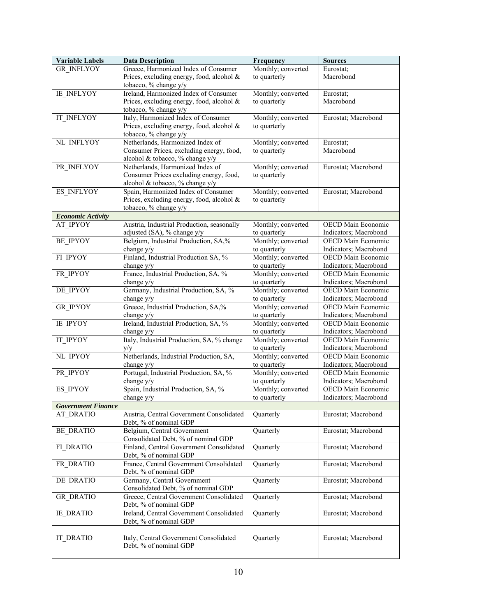| <b>Variable Labels</b>    | <b>Data Description</b>                    | Frequency          | <b>Sources</b>            |
|---------------------------|--------------------------------------------|--------------------|---------------------------|
| <b>GR INFLYOY</b>         | Greece, Harmonized Index of Consumer       | Monthly; converted | Eurostat:                 |
|                           | Prices, excluding energy, food, alcohol &  | to quarterly       | Macrobond                 |
|                           | tobacco, % change y/y                      |                    |                           |
| <b>IE INFLYOY</b>         | Ireland, Harmonized Index of Consumer      | Monthly; converted | Eurostat;                 |
|                           | Prices, excluding energy, food, alcohol &  | to quarterly       | Macrobond                 |
|                           | tobacco, % change y/y                      |                    |                           |
| <b>IT INFLYOY</b>         | Italy, Harmonized Index of Consumer        | Monthly; converted | Eurostat; Macrobond       |
|                           | Prices, excluding energy, food, alcohol &  | to quarterly       |                           |
|                           | tobacco, % change y/y                      |                    |                           |
| NL INFLYOY                | Netherlands, Harmonized Index of           | Monthly; converted | Eurostat;                 |
|                           | Consumer Prices, excluding energy, food,   | to quarterly       | Macrobond                 |
|                           | alcohol & tobacco, % change y/y            |                    |                           |
| PR INFLYOY                | Netherlands, Harmonized Index of           | Monthly; converted | Eurostat; Macrobond       |
|                           | Consumer Prices excluding energy, food,    | to quarterly       |                           |
|                           | alcohol & tobacco, % change $y/y$          |                    |                           |
| ES INFLYOY                | Spain, Harmonized Index of Consumer        | Monthly; converted | Eurostat; Macrobond       |
|                           | Prices, excluding energy, food, alcohol &  | to quarterly       |                           |
|                           | tobacco, % change y/y                      |                    |                           |
| <b>Economic Activity</b>  |                                            |                    |                           |
| AT IPYOY                  | Austria, Industrial Production, seasonally | Monthly; converted | OECD Main Economic        |
|                           | adjusted (SA), % change y/y                | to quarterly       | Indicators; Macrobond     |
| <b>BE IPYOY</b>           | Belgium, Industrial Production, SA,%       | Monthly; converted | <b>OECD</b> Main Economic |
|                           | change $y/y$                               | to quarterly       | Indicators; Macrobond     |
| FI IPYOY                  | Finland, Industrial Production SA, %       | Monthly; converted | OECD Main Economic        |
|                           | change y/y                                 | to quarterly       | Indicators; Macrobond     |
| FR IPYOY                  | France, Industrial Production, SA, %       | Monthly; converted | <b>OECD Main Economic</b> |
|                           | change y/y                                 | to quarterly       | Indicators; Macrobond     |
| DE IPYOY                  | Germany, Industrial Production, SA, %      | Monthly; converted | OECD Main Economic        |
|                           | change y/y                                 | to quarterly       | Indicators; Macrobond     |
| <b>GR IPYOY</b>           | Greece, Industrial Production, SA,%        | Monthly; converted | OECD Main Economic        |
|                           | change y/y                                 | to quarterly       | Indicators; Macrobond     |
| IE IPYOY                  | Ireland, Industrial Production, SA, %      | Monthly; converted | OECD Main Economic        |
|                           | change y/y                                 | to quarterly       | Indicators; Macrobond     |
| IT IPYOY                  | Italy, Industrial Production, SA, % change | Monthly; converted | OECD Main Economic        |
|                           | y/y                                        | to quarterly       | Indicators; Macrobond     |
| NL IPYOY                  | Netherlands, Industrial Production, SA,    | Monthly; converted | <b>OECD Main Economic</b> |
|                           | change y/y                                 | to quarterly       | Indicators; Macrobond     |
| PR_IPYOY                  | Portugal, Industrial Production, SA, %     | Monthly; converted | <b>OECD Main Economic</b> |
|                           | change y/y                                 | to quarterly       | Indicators; Macrobond     |
| ES IPYOY                  | Spain, Industrial Production, SA, %        | Monthly; converted | OECD Main Economic        |
|                           | change y/y                                 | to quarterly       | Indicators; Macrobond     |
| <b>Government Finance</b> |                                            |                    |                           |
| <b>AT DRATIO</b>          | Austria, Central Government Consolidated   | Quarterly          | Eurostat; Macrobond       |
|                           | Debt, % of nominal GDP                     |                    |                           |
| <b>BE DRATIO</b>          | Belgium, Central Government                | Quarterly          | Eurostat; Macrobond       |
|                           | Consolidated Debt, % of nominal GDP        |                    |                           |
| FI DRATIO                 | Finland, Central Government Consolidated   | Quarterly          | Eurostat; Macrobond       |
|                           | Debt, % of nominal GDP                     |                    |                           |
| FR_DRATIO                 | France, Central Government Consolidated    | Quarterly          | Eurostat; Macrobond       |
|                           | Debt, % of nominal GDP                     |                    |                           |
| DE DRATIO                 | Germany, Central Government                | Quarterly          | Eurostat; Macrobond       |
|                           | Consolidated Debt, % of nominal GDP        |                    |                           |
| <b>GR DRATIO</b>          | Greece, Central Government Consolidated    | Quarterly          | Eurostat; Macrobond       |
|                           | Debt, % of nominal GDP                     |                    |                           |
| <b>IE DRATIO</b>          | Ireland, Central Government Consolidated   | Quarterly          | Eurostat; Macrobond       |
|                           | Debt, % of nominal GDP                     |                    |                           |
|                           |                                            |                    |                           |
| <b>IT DRATIO</b>          | Italy, Central Government Consolidated     | Quarterly          | Eurostat; Macrobond       |
|                           | Debt, % of nominal GDP                     |                    |                           |
|                           |                                            |                    |                           |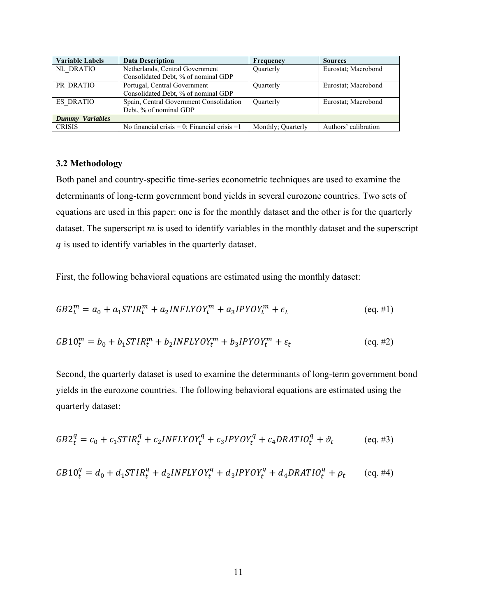| <b>Variable Labels</b>    | <b>Data Description</b>                         | Frequency          | <b>Sources</b>       |
|---------------------------|-------------------------------------------------|--------------------|----------------------|
| <b>NL DRATIO</b>          | Netherlands, Central Government                 | Quarterly          | Eurostat; Macrobond  |
|                           | Consolidated Debt, % of nominal GDP             |                    |                      |
| PR DRATIO                 | Portugal, Central Government                    | Quarterly          | Eurostat; Macrobond  |
|                           | Consolidated Debt, % of nominal GDP             |                    |                      |
| <b>ES DRATIO</b>          | Spain, Central Government Consolidation         | Quarterly          | Eurostat; Macrobond  |
|                           | Debt, % of nominal GDP                          |                    |                      |
| <b>Variables</b><br>Dummy |                                                 |                    |                      |
| <b>CRISIS</b>             | No financial crisis = 0; Financial crisis = $1$ | Monthly; Quarterly | Authors' calibration |

# **3.2 Methodology**

Both panel and country-specific time-series econometric techniques are used to examine the determinants of long-term government bond yields in several eurozone countries. Two sets of equations are used in this paper: one is for the monthly dataset and the other is for the quarterly dataset. The superscript  $m$  is used to identify variables in the monthly dataset and the superscript q is used to identify variables in the quarterly dataset.

First, the following behavioral equations are estimated using the monthly dataset:

$$
GB2_t^m = a_0 + a_1STIR_t^m + a_2INFLYOY_t^m + a_3IPYOY_t^m + \epsilon_t
$$
 (eq. #1)

$$
GB10_t^m = b_0 + b_1STIR_t^m + b_2INFLYOY_t^m + b_3IPYOY_t^m + \varepsilon_t
$$
 (eq. #2)

Second, the quarterly dataset is used to examine the determinants of long-term government bond yields in the eurozone countries. The following behavioral equations are estimated using the quarterly dataset:

$$
GB2_t^q = c_0 + c_1STIR_t^q + c_2INFLYOY_t^q + c_3IPYOY_t^q + c_4DRATION_t^q + \vartheta_t
$$
 (eq. #3)

$$
GB10_t^q = d_0 + d_1STIR_t^q + d_2INFLYOY_t^q + d_3IPYOY_t^q + d_4DRATION_t^q + \rho_t
$$
 (eq. #4)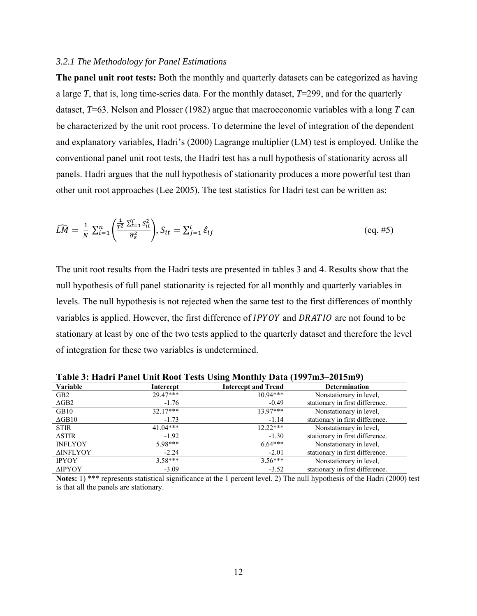### *3.2.1 The Methodology for Panel Estimations*

**The panel unit root tests:** Both the monthly and quarterly datasets can be categorized as having a large *T*, that is, long time-series data. For the monthly dataset, *T*=299, and for the quarterly dataset, *T*=63. Nelson and Plosser (1982) argue that macroeconomic variables with a long *T* can be characterized by the unit root process. To determine the level of integration of the dependent and explanatory variables, Hadri's (2000) Lagrange multiplier (LM) test is employed. Unlike the conventional panel unit root tests, the Hadri test has a null hypothesis of stationarity across all panels. Hadri argues that the null hypothesis of stationarity produces a more powerful test than other unit root approaches (Lee 2005). The test statistics for Hadri test can be written as:

$$
\widehat{LM} = \frac{1}{N} \sum_{i=1}^{n} \left( \frac{\frac{1}{T^2} \sum_{t=1}^{T} S_{it}^2}{\widehat{\sigma}_{\varepsilon}^2} \right), S_{it} = \sum_{j=1}^{t} \widehat{\varepsilon}_{ij}
$$
 (eq. #5)

The unit root results from the Hadri tests are presented in tables 3 and 4. Results show that the null hypothesis of full panel stationarity is rejected for all monthly and quarterly variables in levels. The null hypothesis is not rejected when the same test to the first differences of monthly variables is applied. However, the first difference of *IPYOY* and *DRATIO* are not found to be stationary at least by one of the two tests applied to the quarterly dataset and therefore the level of integration for these two variables is undetermined.

|                        |            | $\sim$                     |                                 |
|------------------------|------------|----------------------------|---------------------------------|
| Variable               | Intercept  | <b>Intercept and Trend</b> | <b>Determination</b>            |
| GB <sub>2</sub>        | $29.47***$ | $10.94***$                 | Nonstationary in level,         |
| $\Delta$ GB2           | $-1.76$    | $-0.49$                    | stationary in first difference. |
| GB10                   | $32.17***$ | 13 97***                   | Nonstationary in level,         |
| $\Delta$ GB10          | $-1.73$    | $-1.14$                    | stationary in first difference. |
| <b>STIR</b>            | $41.04***$ | $12.22***$                 | Nonstationary in level,         |
| $\Delta$ STIR          | $-1.92$    | $-1.30$                    | stationary in first difference. |
| <b>INFLYOY</b>         | $5.98***$  | $6.64***$                  | Nonstationary in level,         |
| <b><i>AINFLYOY</i></b> | $-2.24$    | $-2.01$                    | stationary in first difference. |
| <b>IPYOY</b>           | $3.58***$  | $3.56***$                  | Nonstationary in level,         |
| <b>AIPYOY</b>          | $-3.09$    | $-3.52$                    | stationary in first difference. |

**Table 3: Hadri Panel Unit Root Tests Using Monthly Data (1997m3–2015m9)** 

Notes: 1) \*\*\* represents statistical significance at the 1 percent level. 2) The null hypothesis of the Hadri (2000) test is that all the panels are stationary.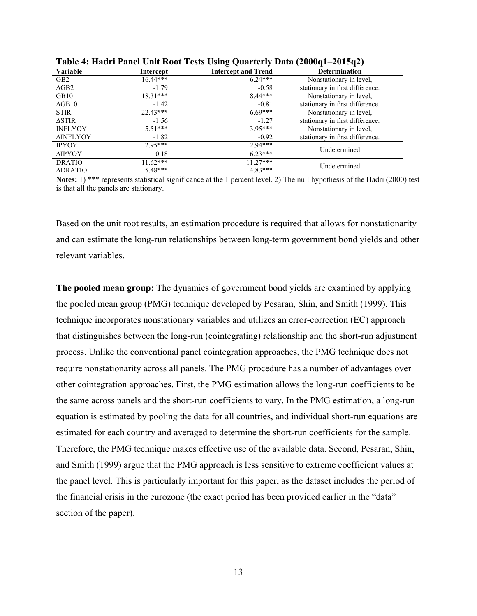| Variable               | Intercept  | - -<br><b>Intercept and Trend</b> | <b>Determination</b>            |
|------------------------|------------|-----------------------------------|---------------------------------|
| GB2                    | $16.44***$ | $6.24***$                         | Nonstationary in level,         |
| $\triangle$ GB2        | $-1.79$    | $-0.58$                           | stationary in first difference. |
| GB10                   | $18.31***$ | $8.44***$                         | Nonstationary in level,         |
| $\Delta$ GB10          | $-1.42$    | $-0.81$                           | stationary in first difference. |
| <b>STIR</b>            | $22.43***$ | $6.69***$                         | Nonstationary in level,         |
| $\Delta$ STIR          | $-1.56$    | $-1.27$                           | stationary in first difference. |
| <b>INFLYOY</b>         | $5.51***$  | $3.95***$                         | Nonstationary in level,         |
| <b><i>AINFLYOY</i></b> | $-1.82$    | $-0.92$                           | stationary in first difference. |
| <b>IPYOY</b>           | $2.95***$  | $2.94***$                         | Undetermined                    |
| ΔΙΡΥΟΥ                 | 0.18       | $623***$                          |                                 |
| <b>DRATIO</b>          | $11.62***$ | $11.27***$                        |                                 |
| <b>ADRATIO</b>         | $5.48***$  | $4.83***$                         | Undetermined                    |

**Table 4: Hadri Panel Unit Root Tests Using Quarterly Data (2000q1–2015q2)** 

Notes: 1) \*\*\* represents statistical significance at the 1 percent level. 2) The null hypothesis of the Hadri (2000) test is that all the panels are stationary.

Based on the unit root results, an estimation procedure is required that allows for nonstationarity and can estimate the long-run relationships between long-term government bond yields and other relevant variables.

**The pooled mean group:** The dynamics of government bond yields are examined by applying the pooled mean group (PMG) technique developed by Pesaran, Shin, and Smith (1999). This technique incorporates nonstationary variables and utilizes an error-correction (EC) approach that distinguishes between the long-run (cointegrating) relationship and the short-run adjustment process. Unlike the conventional panel cointegration approaches, the PMG technique does not require nonstationarity across all panels. The PMG procedure has a number of advantages over other cointegration approaches. First, the PMG estimation allows the long-run coefficients to be the same across panels and the short-run coefficients to vary. In the PMG estimation, a long-run equation is estimated by pooling the data for all countries, and individual short-run equations are estimated for each country and averaged to determine the short-run coefficients for the sample. Therefore, the PMG technique makes effective use of the available data. Second, Pesaran, Shin, and Smith (1999) argue that the PMG approach is less sensitive to extreme coefficient values at the panel level. This is particularly important for this paper, as the dataset includes the period of the financial crisis in the eurozone (the exact period has been provided earlier in the "data" section of the paper).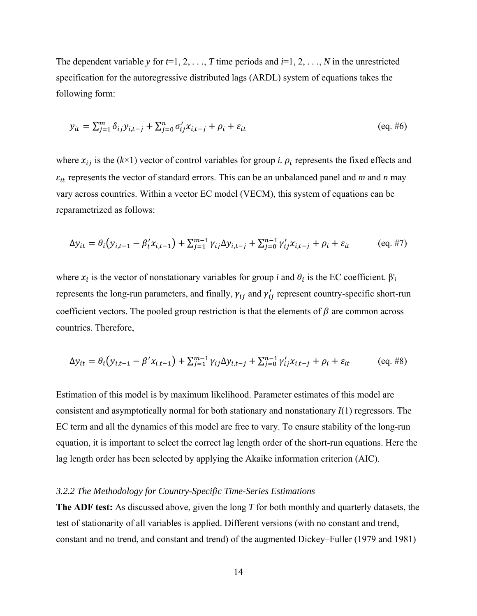The dependent variable *y* for  $t=1, 2, \ldots, T$  time periods and  $i=1, 2, \ldots, N$  in the unrestricted specification for the autoregressive distributed lags (ARDL) system of equations takes the following form:

$$
y_{it} = \sum_{j=1}^{m} \delta_{ij} y_{i,t-j} + \sum_{j=0}^{n} \sigma'_{ij} x_{i,t-j} + \rho_i + \varepsilon_{it}
$$
 (eq. #6)

where  $x_{ij}$  is the ( $k \times 1$ ) vector of control variables for group *i.*  $\rho_i$  represents the fixed effects and  $\varepsilon_{it}$  represents the vector of standard errors. This can be an unbalanced panel and  $m$  and  $n$  may vary across countries. Within a vector EC model (VECM), this system of equations can be reparametrized as follows:

$$
\Delta y_{it} = \theta_i (y_{i,t-1} - \beta_i' x_{i,t-1}) + \sum_{j=1}^{m-1} \gamma_{ij} \Delta y_{i,t-j} + \sum_{j=0}^{n-1} \gamma_{ij}' x_{i,t-j} + \rho_i + \varepsilon_{it}
$$
 (eq. #7)

where  $x_i$  is the vector of nonstationary variables for group *i* and  $\theta_i$  is the EC coefficient.  $\beta'_i$ represents the long-run parameters, and finally,  $\gamma_{ij}$  and  $\gamma'_{ij}$  represent country-specific short-run coefficient vectors. The pooled group restriction is that the elements of  $\beta$  are common across countries. Therefore,

$$
\Delta y_{it} = \theta_i (y_{i,t-1} - \beta' x_{i,t-1}) + \sum_{j=1}^{m-1} \gamma_{ij} \Delta y_{i,t-j} + \sum_{j=0}^{n-1} \gamma'_{ij} x_{i,t-j} + \rho_i + \varepsilon_{it}
$$
 (eq. #8)

Estimation of this model is by maximum likelihood. Parameter estimates of this model are consistent and asymptotically normal for both stationary and nonstationary *I*(1) regressors. The EC term and all the dynamics of this model are free to vary. To ensure stability of the long-run equation, it is important to select the correct lag length order of the short-run equations. Here the lag length order has been selected by applying the Akaike information criterion (AIC).

#### *3.2.2 The Methodology for Country-Specific Time-Series Estimations*

**The ADF test:** As discussed above, given the long *T* for both monthly and quarterly datasets, the test of stationarity of all variables is applied. Different versions (with no constant and trend, constant and no trend, and constant and trend) of the augmented Dickey–Fuller (1979 and 1981)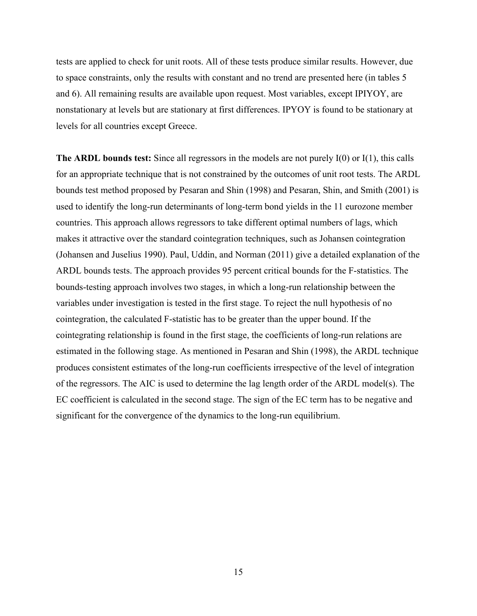tests are applied to check for unit roots. All of these tests produce similar results. However, due to space constraints, only the results with constant and no trend are presented here (in tables 5 and 6). All remaining results are available upon request. Most variables, except IPIYOY, are nonstationary at levels but are stationary at first differences. IPYOY is found to be stationary at levels for all countries except Greece.

**The ARDL bounds test:** Since all regressors in the models are not purely I(0) or I(1), this calls for an appropriate technique that is not constrained by the outcomes of unit root tests. The ARDL bounds test method proposed by Pesaran and Shin (1998) and Pesaran, Shin, and Smith (2001) is used to identify the long-run determinants of long-term bond yields in the 11 eurozone member countries. This approach allows regressors to take different optimal numbers of lags, which makes it attractive over the standard cointegration techniques, such as Johansen cointegration (Johansen and Juselius 1990). Paul, Uddin, and Norman (2011) give a detailed explanation of the ARDL bounds tests. The approach provides 95 percent critical bounds for the F-statistics. The bounds-testing approach involves two stages, in which a long-run relationship between the variables under investigation is tested in the first stage. To reject the null hypothesis of no cointegration, the calculated F-statistic has to be greater than the upper bound. If the cointegrating relationship is found in the first stage, the coefficients of long-run relations are estimated in the following stage. As mentioned in Pesaran and Shin (1998), the ARDL technique produces consistent estimates of the long-run coefficients irrespective of the level of integration of the regressors. The AIC is used to determine the lag length order of the ARDL model(s). The EC coefficient is calculated in the second stage. The sign of the EC term has to be negative and significant for the convergence of the dynamics to the long-run equilibrium.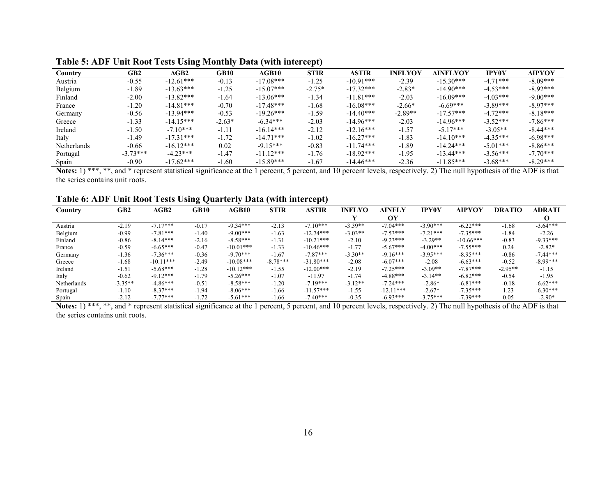| Country     | GB2        | AGB2        | GB <sub>10</sub> | AGB10       | <b>STIR</b> | <b>ASTIR</b> | <b>INFLYOY</b> | <b>AINFLYOY</b> | <b>IPY0Y</b> | <b>AIPYOY</b> |
|-------------|------------|-------------|------------------|-------------|-------------|--------------|----------------|-----------------|--------------|---------------|
| Austria     | $-0.55$    | $-12.61***$ | $-0.13$          | $-17.08***$ | $-1.25$     | $-10.91***$  | $-2.39$        | $-15.30***$     | $-4.71***$   | $-8.09***$    |
| Belgium     | $-1.89$    | $-13.63***$ | $-1.25$          | $-15.07***$ | $-2.75*$    | $-17.32***$  | $-2.83*$       | $-14.90***$     | $-4.53***$   | $-8.92***$    |
| Finland     | $-2.00$    | $-13.82***$ | $-1.64$          | $-13.06***$ | $-1.34$     | $-11.81***$  | $-2.03$        | $-16.09***$     | $-4.03***$   | $-9.00***$    |
| France      | $-1.20$    | $-14.81***$ | $-0.70$          | $-17.48***$ | $-1.68$     | $-16.08***$  | $-2.66*$       | $-6.69***$      | $-3.89***$   | $-8.97***$    |
| Germany     | $-0.56$    | $-13.94***$ | $-0.53$          | $-19.26***$ | $-1.59$     | $-14.40***$  | $-2.89**$      | $-17.57***$     | $-4.72***$   | $-8.18***$    |
| Greece      | $-1.33$    | $-14.15***$ | $-2.63*$         | $-6.34***$  | $-2.03$     | $-14.96***$  | $-2.03$        | $-14.96***$     | $-3.52***$   | $-7.86***$    |
| Ireland     | $-1.50$    | $-7.10***$  | $-1.11$          | $-16.14***$ | $-2.12$     | $-12.16***$  | $-1.57$        | $-5.17***$      | $-3.05**$    | $-8.44***$    |
| Italy       | $-1.49$    | $-17.31***$ | $-1.72$          | $-14.71***$ | $-1.02$     | $-16.27***$  | $-1.83$        | $-14.10***$     | $-4.35***$   | $-6.98***$    |
| Netherlands | $-0.66$    | $-16.12***$ | 0.02             | $-9.15***$  | $-0.83$     | $-1174$ ***  | $-1.89$        | $-14.24***$     | $-5.01***$   | $-8.86***$    |
| Portugal    | $-3.73***$ | $-4.23***$  | $-1.47$          | $-11.12***$ | $-1.76$     | $-18.92***$  | $-1.95$        | $-13.44***$     | $-3.56***$   | $-770***$     |
| Spain       | $-0.90$    | $-17.62***$ | $-1.60$          | $-15.89***$ | $-1.67$     | $-14.46***$  | $-2.36$        | $-11.85***$     | $-3.68***$   | $-8.29***$    |

**Table 5: ADF Unit Root Tests Using Monthly Data (with intercept)** 

Notes: 1) \*\*\*, \*\*, and \* represent statistical significance at the 1 percent, 5 percent, and 10 percent levels, respectively. 2) The null hypothesis of the ADF is that the series contains unit roots.

# **Table 6: ADF Unit Root Tests Using Quarterly Data (with intercept)**

| Country     | GB2       | $\triangle$ GB2 | GB10    | $\Delta$ GB10 | <b>STIR</b> | <b>ASTIR</b> | <b>INFLYO</b> | <b>AINFLY</b> | <b>IPY0Y</b> | <b>AIPYOY</b> | DRATIO    | <b>ADRATI</b> |
|-------------|-----------|-----------------|---------|---------------|-------------|--------------|---------------|---------------|--------------|---------------|-----------|---------------|
|             |           |                 |         |               |             |              |               | OY            |              |               |           |               |
| Austria     | $-2.19$   | $-7.17***$      | $-0.17$ | $-9.34***$    | $-2.13$     | $-7.10***$   | $-3.39**$     | $-7.04***$    | $-3.90***$   | $-6.22***$    | $-1.68$   | $-3.64***$    |
| Belgium     | $-0.99$   | $-7.81***$      | $-1.40$ | $-9.00***$    | $-1.63$     | $-12.74***$  | $-3.03**$     | $-7.53***$    | $-7.21***$   | $-7.35***$    | $-1.84$   | $-2.26$       |
| Finland     | $-0.86$   | $-8.14***$      | $-2.16$ | $-8.58***$    | $-1.31$     | $-10.21***$  | $-2.10$       | $-9.23***$    | $-3.29**$    | $-10.66***$   | $-0.83$   | $-9.33***$    |
| France      | $-0.59$   | $-6.65***$      | $-0.47$ | $-10.01***$   | $-1.33$     | $-10.46***$  | $-1.77$       | $-5.67***$    | $-4.00***$   | $-7.55***$    | 0.24      | $-2.82*$      |
| Germany     | $-1.36$   | $-7.36***$      | $-0.36$ | $-9.70***$    | $-1.67$     | $-7.87***$   | $-3.30**$     | $-9.16***$    | $-3.95***$   | $-8.95***$    | $-0.86$   | $-7.44***$    |
| Greece      | $-1.68$   | $-10.11***$     | $-2.49$ | $-10.08***$   | $-8.78***$  | $-31.80***$  | $-2.08$       | $-6.07***$    | $-2.08$      | $-6.63***$    | $-0.52$   | $-8.99***$    |
| Ireland     | $-1.51$   | $-5.68***$      | $-1.28$ | $-10.12***$   | $-1.55$     | $-12.00***$  | $-2.19$       | $-7.25***$    | $-3.09**$    | $-7.87***$    | $-2.95**$ | $-1.15$       |
| Italy       | $-0.62$   | $-9.12***$      | $-1.79$ | $-5.26***$    | $-1.07$     | $-11.97$     | $-1.74$       | $-4.88***$    | $-3.14**$    | $-6.82***$    | $-0.54$   | $-1.95$       |
| Netherlands | $-3.35**$ | $-4.86***$      | $-0.51$ | $-8.58***$    | $-1.20$     | $-7.19***$   | $-3.12**$     | $-7.24***$    | $-2.86*$     | $-6.81***$    | $-0.18$   | $-6.62***$    |
| Portugal    | $-1.10$   | $-8.37***$      | $-1.94$ | $-8.06***$    | $-1.66$     | $-11.57***$  | $-1.55$       | $-12.11***$   | $-2.67*$     | $-7.35***$    | 1.23      | $-6.30***$    |
| Spain       | $-2.12$   | $-7.77***$      | $-1.72$ | $-5.61***$    | $-1.66$     | $-7.40***$   | $-0.35$       | $-6.93***$    | $-3.75***$   | $-7.39***$    | 0.05      | $-2.90*$      |

Notes: 1) \*\*\*, \*\*, and \* represent statistical significance at the 1 percent, 5 percent, and 10 percent levels, respectively. 2) The null hypothesis of the ADF is that the series contains unit roots.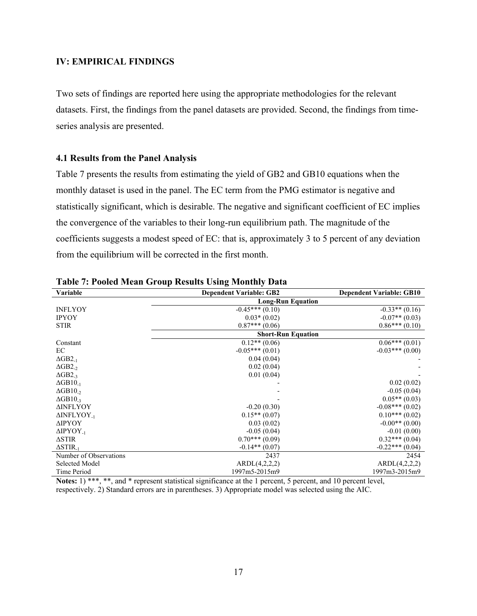# **IV: EMPIRICAL FINDINGS**

Two sets of findings are reported here using the appropriate methodologies for the relevant datasets. First, the findings from the panel datasets are provided. Second, the findings from timeseries analysis are presented.

### **4.1 Results from the Panel Analysis**

Table 7 presents the results from estimating the yield of GB2 and GB10 equations when the monthly dataset is used in the panel. The EC term from the PMG estimator is negative and statistically significant, which is desirable. The negative and significant coefficient of EC implies the convergence of the variables to their long-run equilibrium path. The magnitude of the coefficients suggests a modest speed of EC: that is, approximately 3 to 5 percent of any deviation from the equilibrium will be corrected in the first month.

| Variable                       | <b>Dependent Variable: GB2</b> | <b>Dependent Variable: GB10</b> |  |  |  |
|--------------------------------|--------------------------------|---------------------------------|--|--|--|
|                                | <b>Long-Run Equation</b>       |                                 |  |  |  |
| <b>INFLYOY</b>                 | $-0.45***(0.10)$               | $-0.33**$ (0.16)                |  |  |  |
| <b>IPYOY</b>                   | $0.03*(0.02)$                  | $-0.07**$ (0.03)                |  |  |  |
| <b>STIR</b>                    | $0.87***(0.06)$                | $0.86***(0.10)$                 |  |  |  |
|                                | <b>Short-Run Equation</b>      |                                 |  |  |  |
| Constant                       | $0.12**$ (0.06)                | $0.06***(0.01)$                 |  |  |  |
| EC                             | $-0.05***(0.01)$               | $-0.03***(0.00)$                |  |  |  |
| $\Delta$ GB2 <sub>-1</sub>     | 0.04(0.04)                     |                                 |  |  |  |
| $\triangle$ GB2.               | 0.02(0.04)                     |                                 |  |  |  |
| $\triangle$ GB2 <sub>-3</sub>  | 0.01(0.04)                     |                                 |  |  |  |
| $\Delta$ GB10 <sub>-1</sub>    |                                | 0.02(0.02)                      |  |  |  |
| $\triangle$ GB10 <sub>-2</sub> |                                | $-0.05(0.04)$                   |  |  |  |
| $\triangle$ GB10 <sub>-3</sub> |                                | $0.05**$ (0.03)                 |  |  |  |
| <b><i>AINFLYOY</i></b>         | $-0.20(0.30)$                  | $-0.08***(0.02)$                |  |  |  |
| ΔINFLYOY <sub>-1</sub>         | $0.15**$ (0.07)                | $0.10***(0.02)$                 |  |  |  |
| ΔΙΡΥΟΥ                         | 0.03(0.02)                     | $-0.00**$ (0.00)                |  |  |  |
| $\Delta$ IPYOY <sub>-1</sub>   | $-0.05(0.04)$                  | $-0.01(0.00)$                   |  |  |  |
| $\triangle$ STIR               | $0.70***(0.09)$                | $0.32***(0.04)$                 |  |  |  |
| $\Delta$ STIR <sub>-1</sub>    | $-0.14**$ (0.07)               | $-0.22$ *** (0.04)              |  |  |  |
| Number of Observations         | 2437                           | 2454                            |  |  |  |
| Selected Model                 | ARDL(4,2,2,2)                  | ARDL(4,2,2,2)                   |  |  |  |
| Time Period                    | 1997m5-2015m9                  | 1997m3-2015m9                   |  |  |  |

**Table 7: Pooled Mean Group Results Using Monthly Data** 

Notes: 1) \*\*\*, \*\*, and \* represent statistical significance at the 1 percent, 5 percent, and 10 percent level, respectively. 2) Standard errors are in parentheses. 3) Appropriate model was selected using the AIC.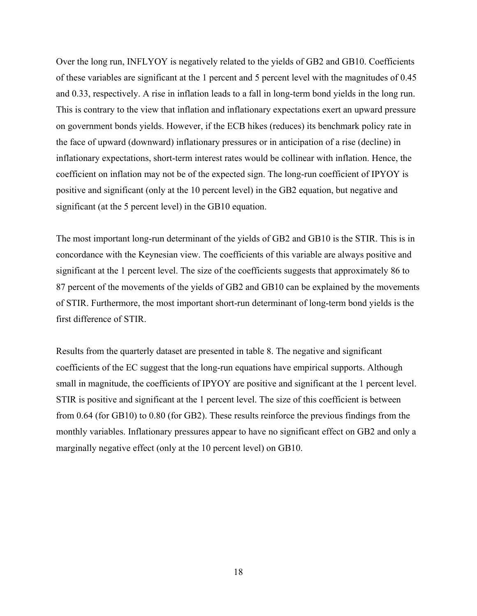Over the long run, INFLYOY is negatively related to the yields of GB2 and GB10. Coefficients of these variables are significant at the 1 percent and 5 percent level with the magnitudes of 0.45 and 0.33, respectively. A rise in inflation leads to a fall in long-term bond yields in the long run. This is contrary to the view that inflation and inflationary expectations exert an upward pressure on government bonds yields. However, if the ECB hikes (reduces) its benchmark policy rate in the face of upward (downward) inflationary pressures or in anticipation of a rise (decline) in inflationary expectations, short-term interest rates would be collinear with inflation. Hence, the coefficient on inflation may not be of the expected sign. The long-run coefficient of IPYOY is positive and significant (only at the 10 percent level) in the GB2 equation, but negative and significant (at the 5 percent level) in the GB10 equation.

The most important long-run determinant of the yields of GB2 and GB10 is the STIR. This is in concordance with the Keynesian view. The coefficients of this variable are always positive and significant at the 1 percent level. The size of the coefficients suggests that approximately 86 to 87 percent of the movements of the yields of GB2 and GB10 can be explained by the movements of STIR. Furthermore, the most important short-run determinant of long-term bond yields is the first difference of STIR.

Results from the quarterly dataset are presented in table 8. The negative and significant coefficients of the EC suggest that the long-run equations have empirical supports. Although small in magnitude, the coefficients of IPYOY are positive and significant at the 1 percent level. STIR is positive and significant at the 1 percent level. The size of this coefficient is between from 0.64 (for GB10) to 0.80 (for GB2). These results reinforce the previous findings from the monthly variables. Inflationary pressures appear to have no significant effect on GB2 and only a marginally negative effect (only at the 10 percent level) on GB10.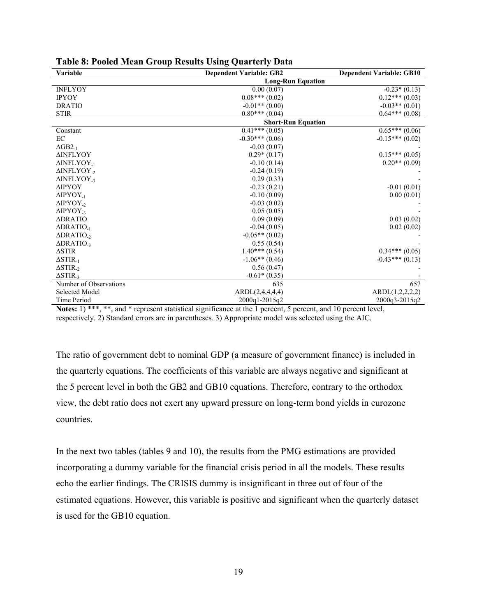| Variable                       | <b>Dependent Variable: GB2</b> | <b>Dependent Variable: GB10</b> |  |  |  |
|--------------------------------|--------------------------------|---------------------------------|--|--|--|
|                                | <b>Long-Run Equation</b>       |                                 |  |  |  |
| <b>INFLYOY</b>                 | 0.00(0.07)                     | $-0.23*(0.13)$                  |  |  |  |
| <b>IPYOY</b>                   | $0.08***(0.02)$                | $0.12***(0.03)$                 |  |  |  |
| <b>DRATIO</b>                  | $-0.01**$ (0.00)               | $-0.03**$ (0.01)                |  |  |  |
| <b>STIR</b>                    | $0.80***(0.04)$                | $0.64***(0.08)$                 |  |  |  |
|                                | <b>Short-Run Equation</b>      |                                 |  |  |  |
| Constant                       | $0.41***(0.05)$                | $0.65***(0.06)$                 |  |  |  |
| $\rm EC$                       | $-0.30***(0.06)$               | $-0.15***(0.02)$                |  |  |  |
| $\triangle$ GB2 <sub>-1</sub>  | $-0.03(0.07)$                  |                                 |  |  |  |
| <b>ΔINFLYOY</b>                | $0.29*(0.17)$                  | $0.15***(0.05)$                 |  |  |  |
| $\Delta$ INFLYOY <sub>-1</sub> | $-0.10(0.14)$                  | $0.20**$ (0.09)                 |  |  |  |
| $\Delta$ INFLYOY <sub>-2</sub> | $-0.24(0.19)$                  |                                 |  |  |  |
| <b>AINFLYOY</b> <sub>3</sub>   | 0.29(0.33)                     |                                 |  |  |  |
| ΔΙΡΥΟΥ                         | $-0.23(0.21)$                  | $-0.01(0.01)$                   |  |  |  |
| $\Delta$ IPYOY <sub>-1</sub>   | $-0.10(0.09)$                  | 0.00(0.01)                      |  |  |  |
| $\Delta$ IPYOY <sub>-2</sub>   | $-0.03(0.02)$                  |                                 |  |  |  |
| $\Delta$ IPYOY <sub>-3</sub>   | 0.05(0.05)                     |                                 |  |  |  |
| <b>ADRATIO</b>                 | 0.09(0.09)                     | 0.03(0.02)                      |  |  |  |
| $\triangle DRATIO_{-1}$        | $-0.04(0.05)$                  | 0.02(0.02)                      |  |  |  |
| $\triangle DRATIO_{-2}$        | $-0.05**$ (0.02)               |                                 |  |  |  |
| $\triangle DRATIO_{3}$         | 0.55(0.54)                     |                                 |  |  |  |
| $\Delta$ STIR                  | $1.40***(0.54)$                | $0.34***(0.05)$                 |  |  |  |
| $\Delta$ STIR <sub>-1</sub>    | $-1.06**$ (0.46)               | $-0.43***(0.13)$                |  |  |  |
| $\Delta$ STIR <sub>-2</sub>    | 0.56(0.47)                     |                                 |  |  |  |
| $\triangle$ STIR <sub>3</sub>  | $-0.61*(0.35)$                 |                                 |  |  |  |
| Number of Observations         | 635                            | 657                             |  |  |  |
| <b>Selected Model</b>          | ARDL(2,4,4,4,4)                | ARDL(1,2,2,2,2)                 |  |  |  |
| Time Period                    | 2000q1-2015q2                  | 2000q3-2015q2                   |  |  |  |

### **Table 8: Pooled Mean Group Results Using Quarterly Data**

Notes: 1) \*\*\*, \*\*, and \* represent statistical significance at the 1 percent, 5 percent, and 10 percent level, respectively. 2) Standard errors are in parentheses. 3) Appropriate model was selected using the AIC.

The ratio of government debt to nominal GDP (a measure of government finance) is included in the quarterly equations. The coefficients of this variable are always negative and significant at the 5 percent level in both the GB2 and GB10 equations. Therefore, contrary to the orthodox view, the debt ratio does not exert any upward pressure on long-term bond yields in eurozone countries.

In the next two tables (tables 9 and 10), the results from the PMG estimations are provided incorporating a dummy variable for the financial crisis period in all the models. These results echo the earlier findings. The CRISIS dummy is insignificant in three out of four of the estimated equations. However, this variable is positive and significant when the quarterly dataset is used for the GB10 equation.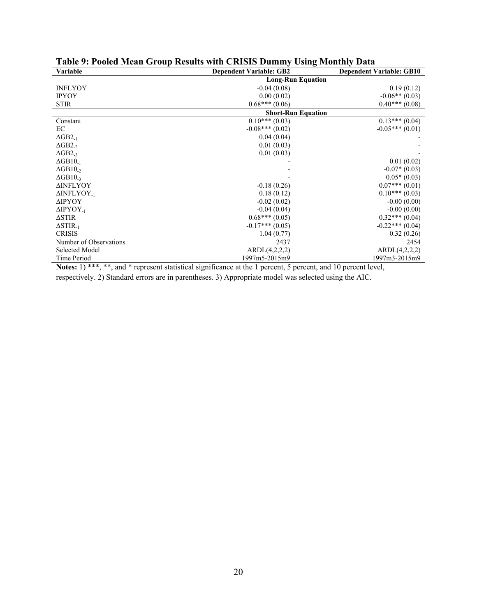| Variable                       | <b>Dependent Variable: GB2</b> | <b>Dependent Variable: GB10</b> |
|--------------------------------|--------------------------------|---------------------------------|
|                                | <b>Long-Run Equation</b>       |                                 |
| <b>INFLYOY</b>                 | $-0.04(0.08)$                  | 0.19(0.12)                      |
| <b>IPYOY</b>                   | 0.00(0.02)                     | $-0.06**$ (0.03)                |
| <b>STIR</b>                    | $0.68***(0.06)$                | $0.40***(0.08)$                 |
|                                | <b>Short-Run Equation</b>      |                                 |
| Constant                       | $0.10***(0.03)$                | $0.13***(0.04)$                 |
| EC                             | $-0.08***(0.02)$               | $-0.05***(0.01)$                |
| $\Delta$ GB2 <sub>-1</sub>     | 0.04(0.04)                     |                                 |
| $\triangle$ GB2.               | 0.01(0.03)                     |                                 |
| $\triangle$ GB2 <sub>-3</sub>  | 0.01(0.03)                     |                                 |
| $\Delta$ GB10 <sub>-1</sub>    |                                | 0.01(0.02)                      |
| $\Delta$ GB10.                 |                                | $-0.07*(0.03)$                  |
| $\triangle$ GB10 <sub>-3</sub> |                                | $0.05*(0.03)$                   |
| <b><i>ΔINFLYOY</i></b>         | $-0.18(0.26)$                  | $0.07***(0.01)$                 |
| $\Delta$ INFLYOY <sub>-1</sub> | 0.18(0.12)                     | $0.10***(0.03)$                 |
| ΔΙΡΥΟΥ                         | $-0.02(0.02)$                  | $-0.00(0.00)$                   |
| $\Delta$ IPYOY <sub>-1</sub>   | $-0.04(0.04)$                  | $-0.00(0.00)$                   |
| $\Delta$ STIR                  | $0.68***(0.05)$                | $0.32***(0.04)$                 |
| $\Delta$ STIR <sub>-1</sub>    | $-0.17***$ (0.05)              | $-0.22$ *** (0.04)              |
| <b>CRISIS</b>                  | 1.04(0.77)                     | 0.32(0.26)                      |
| Number of Observations         | 2437                           | 2454                            |
| <b>Selected Model</b>          | ARDL(4,2,2,2)                  | ARDL(4,2,2,2)                   |
| <b>Time Period</b>             | 1997m5-2015m9                  | 1997m3-2015m9                   |

# **Table 9: Pooled Mean Group Results with CRISIS Dummy Using Monthly Data**

**Notes:** 1) \*\*\*, \*\*, and \* represent statistical significance at the 1 percent, 5 percent, and 10 percent level, respectively. 2) Standard errors are in parentheses. 3) Appropriate model was selected using the AIC.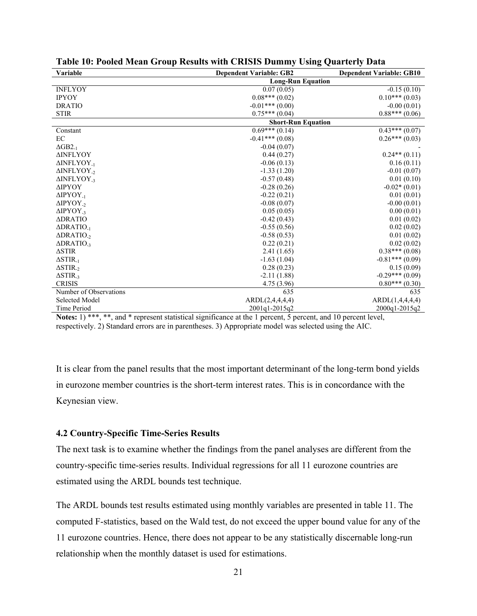| Variable                                     | <b>Dependent Variable: GB2</b>                                                                                                                                                                                                                                      | <b>Dependent Variable: GB10</b> |
|----------------------------------------------|---------------------------------------------------------------------------------------------------------------------------------------------------------------------------------------------------------------------------------------------------------------------|---------------------------------|
|                                              | <b>Long-Run Equation</b>                                                                                                                                                                                                                                            |                                 |
| <b>INFLYOY</b>                               | 0.07(0.05)                                                                                                                                                                                                                                                          | $-0.15(0.10)$                   |
| <b>IPYOY</b>                                 | $0.08***(0.02)$                                                                                                                                                                                                                                                     | $0.10***(0.03)$                 |
| <b>DRATIO</b>                                | $-0.01***(0.00)$                                                                                                                                                                                                                                                    | $-0.00(0.01)$                   |
| <b>STIR</b>                                  | $0.75***(0.04)$                                                                                                                                                                                                                                                     | $0.88***(0.06)$                 |
|                                              | <b>Short-Run Equation</b>                                                                                                                                                                                                                                           |                                 |
| Constant                                     | $\overline{0.69***(0.14)}$                                                                                                                                                                                                                                          | $0.43***(0.07)$                 |
| EC                                           | $-0.41***(0.08)$                                                                                                                                                                                                                                                    | $0.26***(0.03)$                 |
| $\triangle$ GB2 <sub>-1</sub>                | $-0.04(0.07)$                                                                                                                                                                                                                                                       |                                 |
| <b><i>AINFLYOY</i></b>                       | 0.44(0.27)                                                                                                                                                                                                                                                          | $0.24**$ (0.11)                 |
| ΔINFLYOY <sub>-1</sub>                       | $-0.06(0.13)$                                                                                                                                                                                                                                                       | 0.16(0.11)                      |
| ΔINFLYOY,                                    | $-1.33(1.20)$                                                                                                                                                                                                                                                       | $-0.01(0.07)$                   |
| ΔINFLYOY <sub>3</sub>                        | $-0.57(0.48)$                                                                                                                                                                                                                                                       | 0.01(0.10)                      |
| ΔΙΡΥΟΥ                                       | $-0.28(0.26)$                                                                                                                                                                                                                                                       | $-0.02*(0.01)$                  |
| ΔΙΡΥΟΥ <sub>-1</sub>                         | $-0.22(0.21)$                                                                                                                                                                                                                                                       | 0.01(0.01)                      |
| $\Delta$ IPYOY <sub>22</sub>                 | $-0.08(0.07)$                                                                                                                                                                                                                                                       | $-0.00(0.01)$                   |
| $\Delta$ IPYOY <sub>3</sub>                  | 0.05(0.05)                                                                                                                                                                                                                                                          | 0.00(0.01)                      |
| <b>ADRATIO</b>                               | $-0.42(0.43)$                                                                                                                                                                                                                                                       | 0.01(0.02)                      |
| $\triangle DRATIO_{-1}$                      | $-0.55(0.56)$                                                                                                                                                                                                                                                       | 0.02(0.02)                      |
| $\triangle DRATIO$ <sub>2</sub>              | $-0.58(0.53)$                                                                                                                                                                                                                                                       | 0.01(0.02)                      |
| $\triangle DRATIO_{,3}$                      | 0.22(0.21)                                                                                                                                                                                                                                                          | 0.02(0.02)                      |
| $\triangle$ STIR                             | 2.41(1.65)                                                                                                                                                                                                                                                          | $0.38***(0.08)$                 |
| $\Delta$ STIR <sub>-1</sub>                  | $-1.63(1.04)$                                                                                                                                                                                                                                                       | $-0.81***(0.09)$                |
| $\Delta$ STIR <sub>-2</sub>                  | 0.28(0.23)                                                                                                                                                                                                                                                          | 0.15(0.09)                      |
| $\Delta$ STIR <sub>-3</sub>                  | $-2.11(1.88)$                                                                                                                                                                                                                                                       | $-0.29***(0.09)$                |
| <b>CRISIS</b>                                | 4.75 (3.96)                                                                                                                                                                                                                                                         | $0.80***(0.30)$                 |
| Number of Observations                       | 635                                                                                                                                                                                                                                                                 | 635                             |
| <b>Selected Model</b>                        | ARDL(2,4,4,4,4)                                                                                                                                                                                                                                                     | ARDL(1,4,4,4,4)                 |
| Time Period<br>and the standards and alleged | 2001q1-2015q2<br>$\cdot$ $\sim$<br>$\cdots$ . The contract of the contract of the contract of the contract of the contract of the contract of the contract of the contract of the contract of the contract of the contract of the contract of the contract of the c | $2000q1 - 2015q2$<br>1.10       |

| Table 10: Pooled Mean Group Results with CRISIS Dummy Using Quarterly Data |  |  |  |  |  |  |  |  |  |  |  |  |
|----------------------------------------------------------------------------|--|--|--|--|--|--|--|--|--|--|--|--|
|----------------------------------------------------------------------------|--|--|--|--|--|--|--|--|--|--|--|--|

Notes: 1) \*\*\*, \*\*, and \* represent statistical significance at the 1 percent, 5 percent, and 10 percent level, respectively. 2) Standard errors are in parentheses. 3) Appropriate model was selected using the AIC.

It is clear from the panel results that the most important determinant of the long-term bond yields in eurozone member countries is the short-term interest rates. This is in concordance with the Keynesian view.

### **4.2 Country-Specific Time-Series Results**

The next task is to examine whether the findings from the panel analyses are different from the country-specific time-series results. Individual regressions for all 11 eurozone countries are estimated using the ARDL bounds test technique.

The ARDL bounds test results estimated using monthly variables are presented in table 11. The computed F-statistics, based on the Wald test, do not exceed the upper bound value for any of the 11 eurozone countries. Hence, there does not appear to be any statistically discernable long-run relationship when the monthly dataset is used for estimations.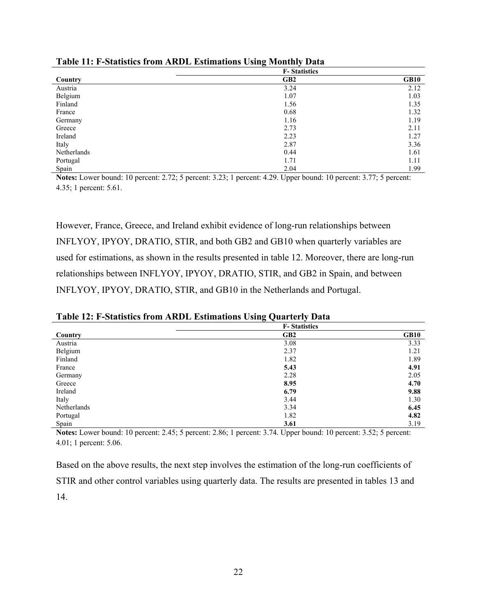|             | <b>F-Statistics</b> |             |  |
|-------------|---------------------|-------------|--|
| Country     | GB2                 | <b>GB10</b> |  |
| Austria     | 3.24                | 2.12        |  |
| Belgium     | 1.07                | 1.03        |  |
| Finland     | 1.56                | 1.35        |  |
| France      | 0.68                | 1.32        |  |
| Germany     | 1.16                | 1.19        |  |
| Greece      | 2.73                | 2.11        |  |
| Ireland     | 2.23                | 1.27        |  |
| Italy       | 2.87                | 3.36        |  |
| Netherlands | 0.44                | 1.61        |  |
| Portugal    | 1.71                | 1.11        |  |
| Spain       | 2.04                | 1.99        |  |

**Table 11: F-Statistics from ARDL Estimations Using Monthly Data**

**Notes:** Lower bound: 10 percent: 2.72; 5 percent: 3.23; 1 percent: 4.29. Upper bound: 10 percent: 3.77; 5 percent: 4.35; 1 percent: 5.61.

However, France, Greece, and Ireland exhibit evidence of long-run relationships between INFLYOY, IPYOY, DRATIO, STIR, and both GB2 and GB10 when quarterly variables are used for estimations, as shown in the results presented in table 12. Moreover, there are long-run relationships between INFLYOY, IPYOY, DRATIO, STIR, and GB2 in Spain, and between INFLYOY, IPYOY, DRATIO, STIR, and GB10 in the Netherlands and Portugal.

**F- Statistics Country GB2 GB10**  Austria 3.08 3.33  $B$ elgium  $2.37$   $1.21$ Finland 1.82 1.89 **France 5.43 4.91** Germany 2.28 2.05

**Table 12: F-Statistics from ARDL Estimations Using Quarterly Data**

**Notes:** Lower bound: 10 percent: 2.45; 5 percent: 2.86; 1 percent: 3.74. Upper bound: 10 percent: 3.52; 5 percent: 4.01; 1 percent: 5.06.

Greece **8.95** 4.70 Ireland **6.79 9.88**  Italy  $3.44$  1.30 Netherlands 6.45 **6.45** Portugal 1.82 **4.82**  Spain **3.61** 3.19

Based on the above results, the next step involves the estimation of the long-run coefficients of

STIR and other control variables using quarterly data. The results are presented in tables 13 and 14.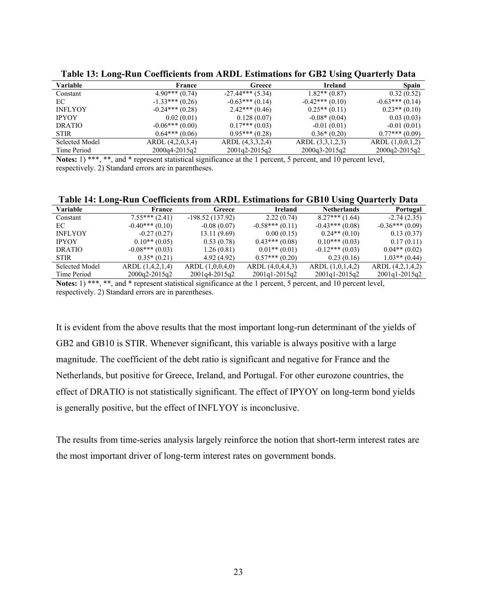| <b>Variable</b> | France           | Greece             | Ireland          | <b>Spain</b>       |
|-----------------|------------------|--------------------|------------------|--------------------|
| Constant        | $4.90***(0.74)$  | $-27.44***$ (5.34) | $1.82**$ (0.87)  | 0.32(0.52)         |
| EC.             | $-1.33***(0.26)$ | $-0.63***(0.14)$   | $-0.42***(0.10)$ | $-0.63$ *** (0.14) |
| <b>INFLYOY</b>  | $-0.24***(0.28)$ | $2.42***(0.46)$    | $0.25**$ (0.11)  | $0.23**$ (0.10)    |
| <b>IPYOY</b>    | 0.02(0.01)       | 0.128(0.07)        | $-0.08*(0.04)$   | 0.03(0.03)         |
| <b>DRATIO</b>   | $-0.06***(0.00)$ | $0.17***(0.03)$    | $-0.01(0.01)$    | $-0.01(0.01)$      |
| <b>STIR</b>     | $0.64***(0.06)$  | $0.95***(0.28)$    | $0.36*(0.20)$    | $0.77***(0.09)$    |
| Selected Model  | ARDL(4,2,0,3,4)  | ARDL $(4,3,3,2,4)$ | ARDL (3,3,1,2,3) | ARDL(1,0,0,1,2)    |
| Time Period     | 2000q4-2015q2    | $2001q2 - 2015q2$  | 2000q3-2015q2    | $2000q2 - 2015q2$  |

**Table 13: Long-Run Coefficients from ARDL Estimations for GB2 Using Quarterly Data**

**Notes:** 1) \*\*\*, \*\*, and \* represent statistical significance at the 1 percent, 5 percent, and 10 percent level, respectively. 2) Standard errors are in parentheses.

|  |  | Table 14: Long-Run Coefficients from ARDL Estimations for GB10 Using Quarterly Data |
|--|--|-------------------------------------------------------------------------------------|
|  |  |                                                                                     |

|                | Table I is Dong Kun Coemelents if one time to boundarious for ODT0 Csing Quarterly Data |                   |                    |                    |                   |
|----------------|-----------------------------------------------------------------------------------------|-------------------|--------------------|--------------------|-------------------|
| Variable       | France                                                                                  | Greece            | <b>Ireland</b>     | <b>Netherlands</b> | Portugal          |
| Constant       | $7.55***(2.41)$                                                                         | $-198.52(137.92)$ | 2.22(0.74)         | $8.27***(1.64)$    | $-2.74(2.35)$     |
| EС             | $-0.40***(0.10)$                                                                        | $-0.08(0.07)$     | $-0.58***(0.11)$   | $-0.43***(0.08)$   | $-0.36***(0.09)$  |
| <b>INFLYOY</b> | $-0.27(0.27)$                                                                           | 13.11 (9.69)      | 0.00(0.15)         | $0.24**$ (0.10)    | 0.13(0.37)        |
| <b>IPYOY</b>   | $0.10**$ (0.05)                                                                         | 0.53(0.78)        | $0.43***(0.08)$    | $0.10***(0.03)$    | 0.17(0.11)        |
| <b>DRATIO</b>  | $-0.08$ *** (0.03)                                                                      | 1.26(0.81)        | $0.01$ ** $(0.01)$ | $-0.12***(0.03)$   | $0.04**$ (0.02)   |
| <b>STIR</b>    | $0.35*(0.21)$                                                                           | 4.92(4.92)        | $0.57***(0.20)$    | 0.23(0.16)         | $1.03**$ (0.44)   |
| Selected Model | ARDL $(1,4,2,1,4)$                                                                      | ARDL(1,0,0,4,0)   | ARDL $(4,0,4,4,3)$ | ARDL(1,0,1,4,2)    | ARDL(4,2,1,4,2)   |
| Time Period    | $2000q2 - 2015q2$                                                                       | 2001q4-2015q2     | 2001q1-2015q2      | 2001q1-2015q2      | $2001q1 - 2015q2$ |

Notes: 1) \*\*\*, \*\*, and \* represent statistical significance at the 1 percent, 5 percent, and 10 percent level, respectively. 2) Standard errors are in parentheses.

It is evident from the above results that the most important long-run determinant of the yields of GB2 and GB10 is STIR. Whenever significant, this variable is always positive with a large magnitude. The coefficient of the debt ratio is significant and negative for France and the Netherlands, but positive for Greece, Ireland, and Portugal. For other eurozone countries, the effect of DRATIO is not statistically significant. The effect of IPYOY on long-term bond yields is generally positive, but the effect of INFLYOY is inconclusive.

The results from time-series analysis largely reinforce the notion that short-term interest rates are the most important driver of long-term interest rates on government bonds.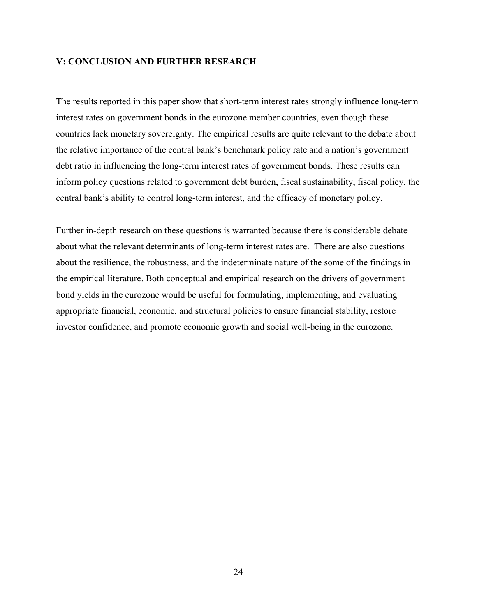# **V: CONCLUSION AND FURTHER RESEARCH**

The results reported in this paper show that short-term interest rates strongly influence long-term interest rates on government bonds in the eurozone member countries, even though these countries lack monetary sovereignty. The empirical results are quite relevant to the debate about the relative importance of the central bank's benchmark policy rate and a nation's government debt ratio in influencing the long-term interest rates of government bonds. These results can inform policy questions related to government debt burden, fiscal sustainability, fiscal policy, the central bank's ability to control long-term interest, and the efficacy of monetary policy.

Further in-depth research on these questions is warranted because there is considerable debate about what the relevant determinants of long-term interest rates are. There are also questions about the resilience, the robustness, and the indeterminate nature of the some of the findings in the empirical literature. Both conceptual and empirical research on the drivers of government bond yields in the eurozone would be useful for formulating, implementing, and evaluating appropriate financial, economic, and structural policies to ensure financial stability, restore investor confidence, and promote economic growth and social well-being in the eurozone.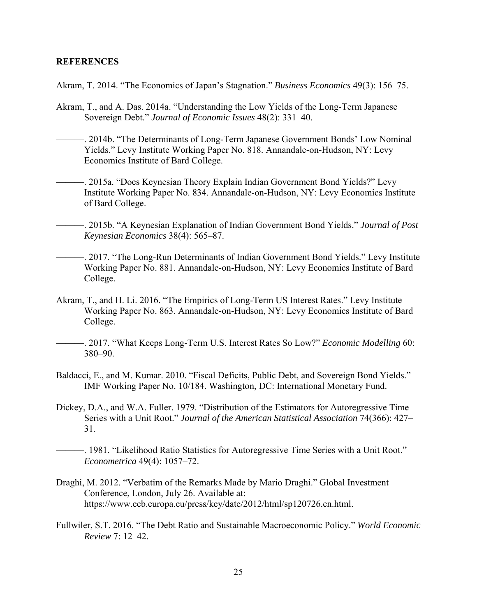## **REFERENCES**

Akram, T. 2014. "The Economics of Japan's Stagnation." *Business Economics* 49(3): 156–75.

- Akram, T., and A. Das. 2014a. "Understanding the Low Yields of the Long-Term Japanese Sovereign Debt." *Journal of Economic Issues* 48(2): 331–40.
- ———. 2014b. "The Determinants of Long-Term Japanese Government Bonds' Low Nominal Yields." Levy Institute Working Paper No. 818. Annandale-on-Hudson, NY: Levy Economics Institute of Bard College.
	- ———. 2015a. "Does Keynesian Theory Explain Indian Government Bond Yields?" Levy Institute Working Paper No. 834. Annandale-on-Hudson, NY: Levy Economics Institute of Bard College.
- ———. 2015b. "A Keynesian Explanation of Indian Government Bond Yields." *Journal of Post Keynesian Economics* 38(4): 565–87.
- ———. 2017. "The Long-Run Determinants of Indian Government Bond Yields." Levy Institute Working Paper No. 881. Annandale-on-Hudson, NY: Levy Economics Institute of Bard College.
- Akram, T., and H. Li. 2016. "The Empirics of Long-Term US Interest Rates." Levy Institute Working Paper No. 863. Annandale-on-Hudson, NY: Levy Economics Institute of Bard College.
- ———. 2017. "What Keeps Long-Term U.S. Interest Rates So Low?" *Economic Modelling* 60: 380–90.
- Baldacci, E., and M. Kumar. 2010. "Fiscal Deficits, Public Debt, and Sovereign Bond Yields." IMF Working Paper No. 10/184. Washington, DC: International Monetary Fund.
- Dickey, D.A., and W.A. Fuller. 1979. "Distribution of the Estimators for Autoregressive Time Series with a Unit Root." *Journal of the American Statistical Association* 74(366): 427– 31.

———. 1981. "Likelihood Ratio Statistics for Autoregressive Time Series with a Unit Root." *Econometrica* 49(4): 1057–72.

- Draghi, M. 2012. "Verbatim of the Remarks Made by Mario Draghi." Global Investment Conference, London, July 26. Available at: https://www.ecb.europa.eu/press/key/date/2012/html/sp120726.en.html.
- Fullwiler, S.T. 2016. "The Debt Ratio and Sustainable Macroeconomic Policy." *World Economic Review* 7: 12–42.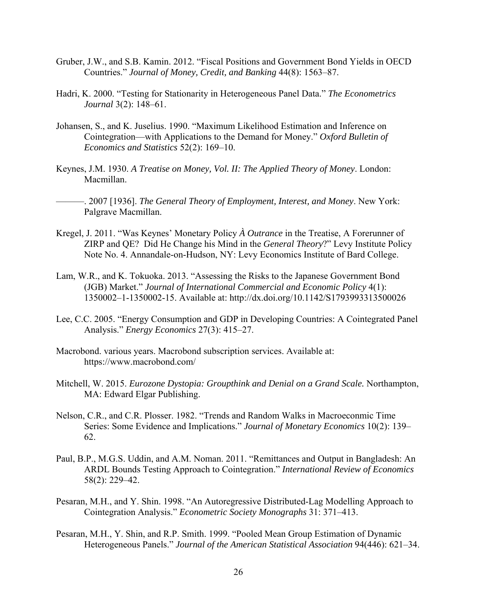- Gruber, J.W., and S.B. Kamin. 2012. "Fiscal Positions and Government Bond Yields in OECD Countries." *Journal of Money, Credit, and Banking* 44(8): 1563–87.
- Hadri, K. 2000. "Testing for Stationarity in Heterogeneous Panel Data." *The Econometrics Journal* 3(2): 148–61.
- Johansen, S., and K. Juselius. 1990. "Maximum Likelihood Estimation and Inference on Cointegration—with Applications to the Demand for Money." *Oxford Bulletin of Economics and Statistics* 52(2): 169–10.
- Keynes, J.M. 1930. *A Treatise on Money, Vol. II: The Applied Theory of Money*. London: Macmillan.
- ———. 2007 [1936]. *The General Theory of Employment, Interest, and Money*. New York: Palgrave Macmillan.
- Kregel, J. 2011. "Was Keynes' Monetary Policy *À Outrance* in the Treatise, A Forerunner of ZIRP and QE? Did He Change his Mind in the *General Theory*?" Levy Institute Policy Note No. 4. Annandale-on-Hudson, NY: Levy Economics Institute of Bard College.
- Lam, W.R., and K. Tokuoka. 2013. "Assessing the Risks to the Japanese Government Bond (JGB) Market." *Journal of International Commercial and Economic Policy* 4(1): 1350002–1-1350002-15. Available at: http://dx.doi.org/10.1142/S1793993313500026
- Lee, C.C. 2005. "Energy Consumption and GDP in Developing Countries: A Cointegrated Panel Analysis." *Energy Economics* 27(3): 415–27.
- Macrobond. various years. Macrobond subscription services. Available at: https://www.macrobond.com/
- Mitchell, W. 2015. *Eurozone Dystopia: Groupthink and Denial on a Grand Scale.* Northampton, MA: Edward Elgar Publishing.
- Nelson, C.R., and C.R. Plosser. 1982. "Trends and Random Walks in Macroeconmic Time Series: Some Evidence and Implications." *Journal of Monetary Economics* 10(2): 139– 62.
- Paul, B.P., M.G.S. Uddin, and A.M. Noman. 2011. "Remittances and Output in Bangladesh: An ARDL Bounds Testing Approach to Cointegration." *International Review of Economics* 58(2): 229–42.
- Pesaran, M.H., and Y. Shin. 1998. "An Autoregressive Distributed-Lag Modelling Approach to Cointegration Analysis." *Econometric Society Monographs* 31: 371–413.
- Pesaran, M.H., Y. Shin, and R.P. Smith. 1999. "Pooled Mean Group Estimation of Dynamic Heterogeneous Panels." *Journal of the American Statistical Association* 94(446): 621–34.